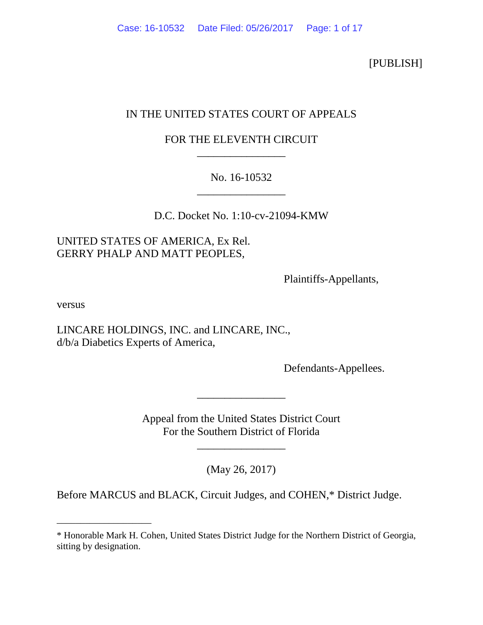[PUBLISH]

# IN THE UNITED STATES COURT OF APPEALS

# FOR THE ELEVENTH CIRCUIT \_\_\_\_\_\_\_\_\_\_\_\_\_\_\_\_

# No. 16-10532 \_\_\_\_\_\_\_\_\_\_\_\_\_\_\_\_

D.C. Docket No. 1:10-cv-21094-KMW

## UNITED STATES OF AMERICA, Ex Rel. GERRY PHALP AND MATT PEOPLES,

Plaintiffs-Appellants,

versus

\_\_\_\_\_\_\_\_\_\_\_\_\_\_\_\_\_\_\_\_

LINCARE HOLDINGS, INC. and LINCARE, INC., d/b/a Diabetics Experts of America,

Defendants-Appellees.

Appeal from the United States District Court For the Southern District of Florida

\_\_\_\_\_\_\_\_\_\_\_\_\_\_\_\_

\_\_\_\_\_\_\_\_\_\_\_\_\_\_\_\_

(May 26, 2017)

Before MARCUS and BLACK, Circuit Judges, and COHEN,\* District Judge.

<sup>\*</sup> Honorable Mark H. Cohen, United States District Judge for the Northern District of Georgia, sitting by designation.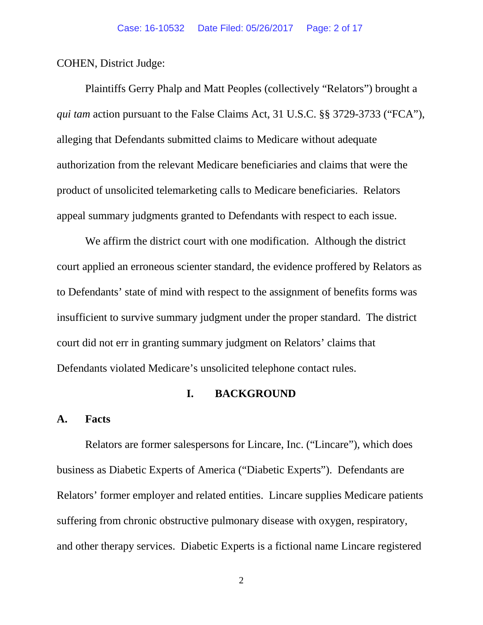COHEN, District Judge:

Plaintiffs Gerry Phalp and Matt Peoples (collectively "Relators") brought a *qui tam* action pursuant to the False Claims Act, 31 U.S.C. §§ 3729-3733 ("FCA"), alleging that Defendants submitted claims to Medicare without adequate authorization from the relevant Medicare beneficiaries and claims that were the product of unsolicited telemarketing calls to Medicare beneficiaries. Relators appeal summary judgments granted to Defendants with respect to each issue.

We affirm the district court with one modification. Although the district court applied an erroneous scienter standard, the evidence proffered by Relators as to Defendants' state of mind with respect to the assignment of benefits forms was insufficient to survive summary judgment under the proper standard. The district court did not err in granting summary judgment on Relators' claims that Defendants violated Medicare's unsolicited telephone contact rules.

#### **I. BACKGROUND**

#### **A. Facts**

Relators are former salespersons for Lincare, Inc. ("Lincare"), which does business as Diabetic Experts of America ("Diabetic Experts"). Defendants are Relators' former employer and related entities. Lincare supplies Medicare patients suffering from chronic obstructive pulmonary disease with oxygen, respiratory, and other therapy services. Diabetic Experts is a fictional name Lincare registered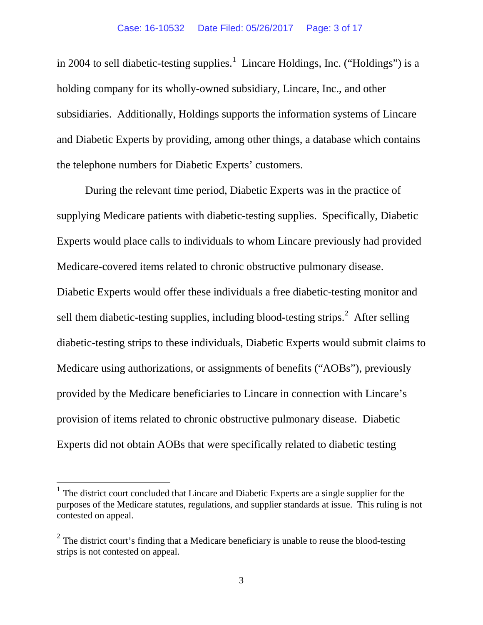in 2004 to sell diabetic-testing supplies.<sup>[1](#page-2-0)</sup> Lincare Holdings, Inc. ("Holdings") is a holding company for its wholly-owned subsidiary, Lincare, Inc., and other subsidiaries. Additionally, Holdings supports the information systems of Lincare and Diabetic Experts by providing, among other things, a database which contains the telephone numbers for Diabetic Experts' customers.

During the relevant time period, Diabetic Experts was in the practice of supplying Medicare patients with diabetic-testing supplies. Specifically, Diabetic Experts would place calls to individuals to whom Lincare previously had provided Medicare-covered items related to chronic obstructive pulmonary disease. Diabetic Experts would offer these individuals a free diabetic-testing monitor and sell them diabetic-testing supplies, including blood-testing strips. $2$  After selling diabetic-testing strips to these individuals, Diabetic Experts would submit claims to Medicare using authorizations, or assignments of benefits ("AOBs"), previously provided by the Medicare beneficiaries to Lincare in connection with Lincare's provision of items related to chronic obstructive pulmonary disease. Diabetic Experts did not obtain AOBs that were specifically related to diabetic testing

<span id="page-2-0"></span><sup>&</sup>lt;sup>1</sup> The district court concluded that Lincare and Diabetic Experts are a single supplier for the purposes of the Medicare statutes, regulations, and supplier standards at issue. This ruling is not contested on appeal.

<span id="page-2-1"></span> $2\degree$  The district court's finding that a Medicare beneficiary is unable to reuse the blood-testing strips is not contested on appeal.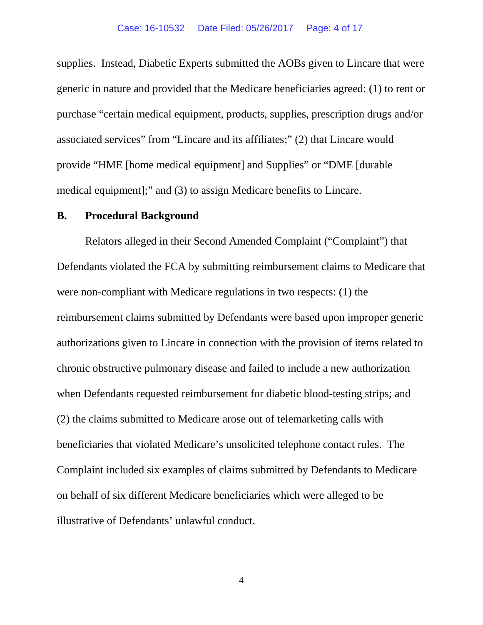supplies. Instead, Diabetic Experts submitted the AOBs given to Lincare that were generic in nature and provided that the Medicare beneficiaries agreed: (1) to rent or purchase "certain medical equipment, products, supplies, prescription drugs and/or associated services" from "Lincare and its affiliates;" (2) that Lincare would provide "HME [home medical equipment] and Supplies" or "DME [durable medical equipment];" and (3) to assign Medicare benefits to Lincare.

#### **B. Procedural Background**

Relators alleged in their Second Amended Complaint ("Complaint") that Defendants violated the FCA by submitting reimbursement claims to Medicare that were non-compliant with Medicare regulations in two respects: (1) the reimbursement claims submitted by Defendants were based upon improper generic authorizations given to Lincare in connection with the provision of items related to chronic obstructive pulmonary disease and failed to include a new authorization when Defendants requested reimbursement for diabetic blood-testing strips; and (2) the claims submitted to Medicare arose out of telemarketing calls with beneficiaries that violated Medicare's unsolicited telephone contact rules. The Complaint included six examples of claims submitted by Defendants to Medicare on behalf of six different Medicare beneficiaries which were alleged to be illustrative of Defendants' unlawful conduct.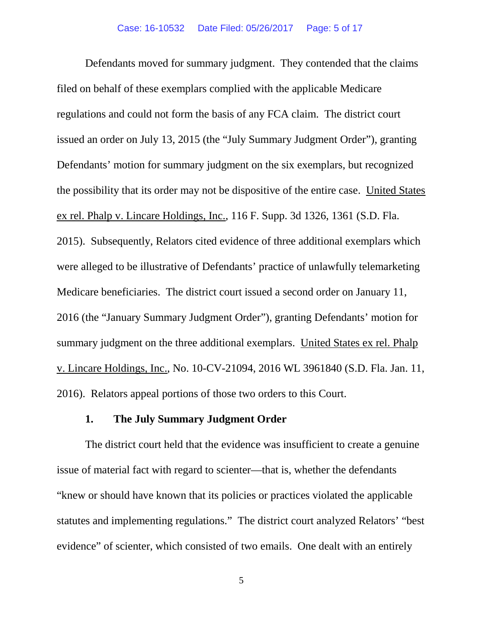Defendants moved for summary judgment. They contended that the claims filed on behalf of these exemplars complied with the applicable Medicare regulations and could not form the basis of any FCA claim. The district court issued an order on July 13, 2015 (the "July Summary Judgment Order"), granting Defendants' motion for summary judgment on the six exemplars, but recognized the possibility that its order may not be dispositive of the entire case. United States ex rel. Phalp v. Lincare Holdings, Inc., 116 F. Supp. 3d 1326, 1361 (S.D. Fla. 2015). Subsequently, Relators cited evidence of three additional exemplars which were alleged to be illustrative of Defendants' practice of unlawfully telemarketing Medicare beneficiaries. The district court issued a second order on January 11, 2016 (the "January Summary Judgment Order"), granting Defendants' motion for summary judgment on the three additional exemplars. United States ex rel. Phalp v. Lincare Holdings, Inc., No. 10-CV-21094, 2016 WL 3961840 (S.D. Fla. Jan. 11, 2016). Relators appeal portions of those two orders to this Court.

### **1. The July Summary Judgment Order**

The district court held that the evidence was insufficient to create a genuine issue of material fact with regard to scienter—that is, whether the defendants "knew or should have known that its policies or practices violated the applicable statutes and implementing regulations." The district court analyzed Relators' "best evidence" of scienter, which consisted of two emails. One dealt with an entirely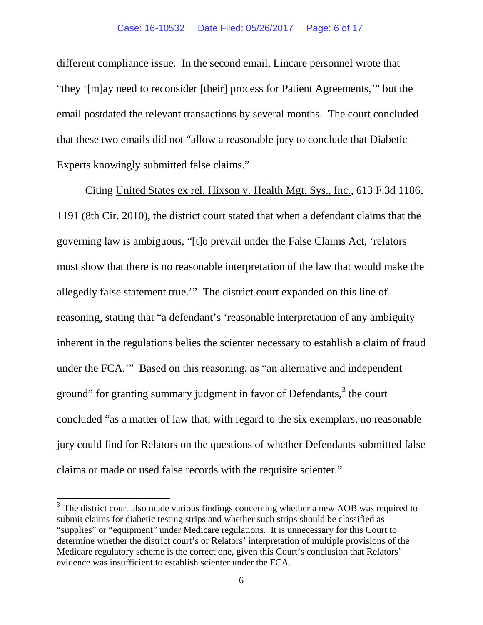different compliance issue. In the second email, Lincare personnel wrote that "they '[m]ay need to reconsider [their] process for Patient Agreements,'" but the email postdated the relevant transactions by several months. The court concluded that these two emails did not "allow a reasonable jury to conclude that Diabetic Experts knowingly submitted false claims."

Citing United States ex rel. Hixson v. Health Mgt. Sys., Inc., 613 F.3d 1186, 1191 (8th Cir. 2010), the district court stated that when a defendant claims that the governing law is ambiguous, "[t]o prevail under the False Claims Act, 'relators must show that there is no reasonable interpretation of the law that would make the allegedly false statement true.'" The district court expanded on this line of reasoning, stating that "a defendant's 'reasonable interpretation of any ambiguity inherent in the regulations belies the scienter necessary to establish a claim of fraud under the FCA.'" Based on this reasoning, as "an alternative and independent ground" for granting summary judgment in favor of Defendants,<sup>[3](#page-5-0)</sup> the court concluded "as a matter of law that, with regard to the six exemplars, no reasonable jury could find for Relators on the questions of whether Defendants submitted false claims or made or used false records with the requisite scienter."

<span id="page-5-0"></span><sup>&</sup>lt;sup>3</sup> The district court also made various findings concerning whether a new AOB was required to submit claims for diabetic testing strips and whether such strips should be classified as "supplies" or "equipment" under Medicare regulations. It is unnecessary for this Court to determine whether the district court's or Relators' interpretation of multiple provisions of the Medicare regulatory scheme is the correct one, given this Court's conclusion that Relators' evidence was insufficient to establish scienter under the FCA.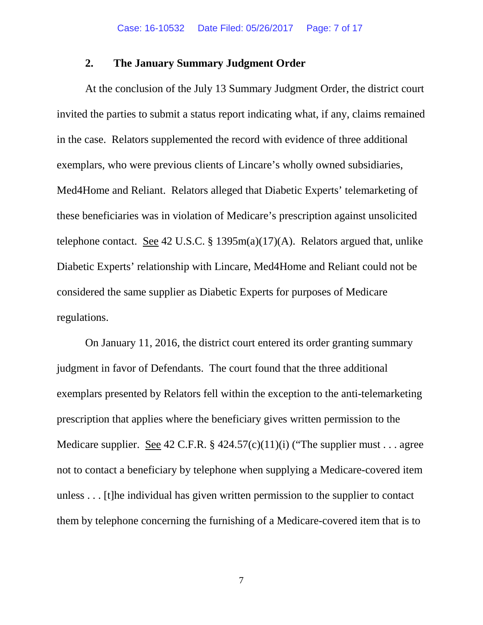### **2. The January Summary Judgment Order**

At the conclusion of the July 13 Summary Judgment Order, the district court invited the parties to submit a status report indicating what, if any, claims remained in the case. Relators supplemented the record with evidence of three additional exemplars, who were previous clients of Lincare's wholly owned subsidiaries, Med4Home and Reliant. Relators alleged that Diabetic Experts' telemarketing of these beneficiaries was in violation of Medicare's prescription against unsolicited telephone contact. See 42 U.S.C. § 1395 $m(a)(17)(A)$ . Relators argued that, unlike Diabetic Experts' relationship with Lincare, Med4Home and Reliant could not be considered the same supplier as Diabetic Experts for purposes of Medicare regulations.

On January 11, 2016, the district court entered its order granting summary judgment in favor of Defendants. The court found that the three additional exemplars presented by Relators fell within the exception to the anti-telemarketing prescription that applies where the beneficiary gives written permission to the Medicare supplier. See 42 C.F.R. § 424.57(c)(11)(i) ("The supplier must . . . agree not to contact a beneficiary by telephone when supplying a Medicare-covered item unless . . . [t]he individual has given written permission to the supplier to contact them by telephone concerning the furnishing of a Medicare-covered item that is to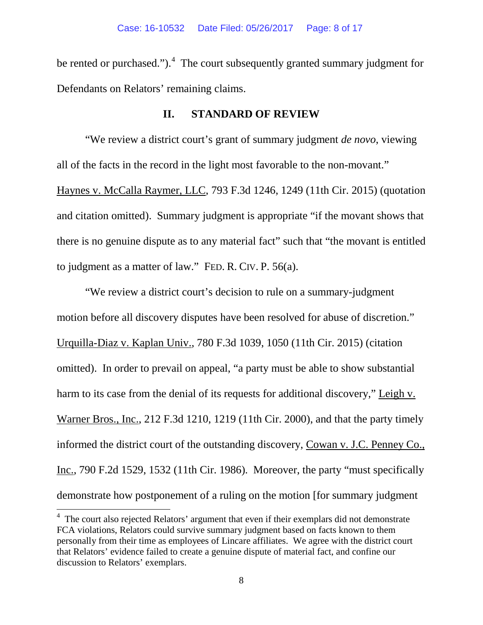be rented or purchased."). $4$  The court subsequently granted summary judgment for Defendants on Relators' remaining claims.

### **II. STANDARD OF REVIEW**

"We review a district court's grant of summary judgment *de novo*, viewing all of the facts in the record in the light most favorable to the non-movant." Haynes v. McCalla Raymer, LLC, 793 F.3d 1246, 1249 (11th Cir. 2015) (quotation and citation omitted). Summary judgment is appropriate "if the movant shows that there is no genuine dispute as to any material fact" such that "the movant is entitled to judgment as a matter of law." FED. R. CIV. P. 56(a).

"We review a district court's decision to rule on a summary-judgment motion before all discovery disputes have been resolved for abuse of discretion." Urquilla-Diaz v. Kaplan Univ., 780 F.3d 1039, 1050 (11th Cir. 2015) (citation omitted). In order to prevail on appeal, "a party must be able to show substantial harm to its case from the denial of its requests for additional discovery," Leigh v. Warner Bros., Inc., 212 F.3d 1210, 1219 (11th Cir. 2000), and that the party timely informed the district court of the outstanding discovery, Cowan v. J.C. Penney Co., Inc., 790 F.2d 1529, 1532 (11th Cir. 1986). Moreover, the party "must specifically demonstrate how postponement of a ruling on the motion [for summary judgment

<span id="page-7-0"></span> $4\text{ The court also rejected Relations' argument that even if their exemplars did not demonstrate}$ FCA violations, Relators could survive summary judgment based on facts known to them personally from their time as employees of Lincare affiliates. We agree with the district court that Relators' evidence failed to create a genuine dispute of material fact, and confine our discussion to Relators' exemplars.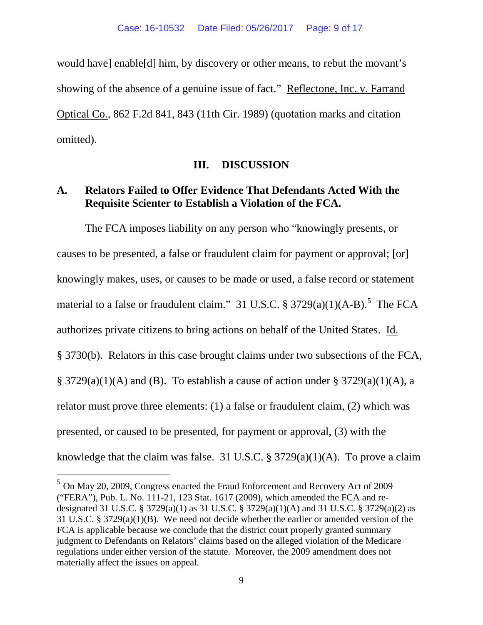would have] enable[d] him, by discovery or other means, to rebut the movant's showing of the absence of a genuine issue of fact." Reflectone, Inc. v. Farrand Optical Co., 862 F.2d 841, 843 (11th Cir. 1989) (quotation marks and citation omitted).

#### **III. DISCUSSION**

### **A. Relators Failed to Offer Evidence That Defendants Acted With the Requisite Scienter to Establish a Violation of the FCA.**

The FCA imposes liability on any person who "knowingly presents, or causes to be presented, a false or fraudulent claim for payment or approval; [or] knowingly makes, uses, or causes to be made or used, a false record or statement material to a false or fraudulent claim." 31 U.S.C.  $\S 3729(a)(1)(A-B)$ . The FCA authorizes private citizens to bring actions on behalf of the United States. Id. § 3730(b). Relators in this case brought claims under two subsections of the FCA,  $\S$  3729(a)(1)(A) and (B). To establish a cause of action under  $\S$  3729(a)(1)(A), a relator must prove three elements: (1) a false or fraudulent claim, (2) which was presented, or caused to be presented, for payment or approval, (3) with the knowledge that the claim was false. 31 U.S.C. § 3729(a)(1)(A). To prove a claim

<span id="page-8-0"></span><sup>5</sup> On May 20, 2009, Congress enacted the Fraud Enforcement and Recovery Act of 2009 ("FERA"), Pub. L. No. 111-21, 123 Stat. 1617 (2009), which amended the FCA and redesignated 31 U.S.C. § 3729(a)(1) as 31 U.S.C. § 3729(a)(1)(A) and 31 U.S.C. § 3729(a)(2) as 31 U.S.C. § 3729(a)(1)(B). We need not decide whether the earlier or amended version of the FCA is applicable because we conclude that the district court properly granted summary judgment to Defendants on Relators' claims based on the alleged violation of the Medicare regulations under either version of the statute. Moreover, the 2009 amendment does not materially affect the issues on appeal.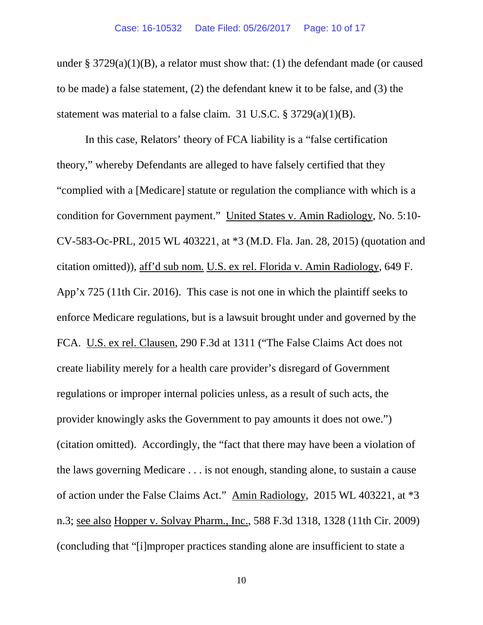under § 3729(a)(1)(B), a relator must show that: (1) the defendant made (or caused to be made) a false statement, (2) the defendant knew it to be false, and (3) the statement was material to a false claim. 31 U.S.C. § 3729(a)(1)(B).

In this case, Relators' theory of FCA liability is a "false certification theory," whereby Defendants are alleged to have falsely certified that they "complied with a [Medicare] statute or regulation the compliance with which is a condition for Government payment." United States v. Amin Radiology, No. 5:10- CV-583-Oc-PRL, 2015 WL 403221, at \*3 (M.D. Fla. Jan. 28, 2015) (quotation and citation omitted)), aff'd sub nom. U.S. ex rel. Florida v. Amin Radiology, 649 F. App'x 725 (11th Cir. 2016). This case is not one in which the plaintiff seeks to enforce Medicare regulations, but is a lawsuit brought under and governed by the FCA. U.S. ex rel. Clausen, 290 F.3d at 1311 ("The False Claims Act does not create liability merely for a health care provider's disregard of Government regulations or improper internal policies unless, as a result of such acts, the provider knowingly asks the Government to pay amounts it does not owe.") (citation omitted). Accordingly, the "fact that there may have been a violation of the laws governing Medicare . . . is not enough, standing alone, to sustain a cause of action under the False Claims Act." Amin Radiology, 2015 WL 403221, at \*3 n.3; see also Hopper v. Solvay Pharm., Inc., 588 F.3d 1318, 1328 (11th Cir. 2009) (concluding that "[i]mproper practices standing alone are insufficient to state a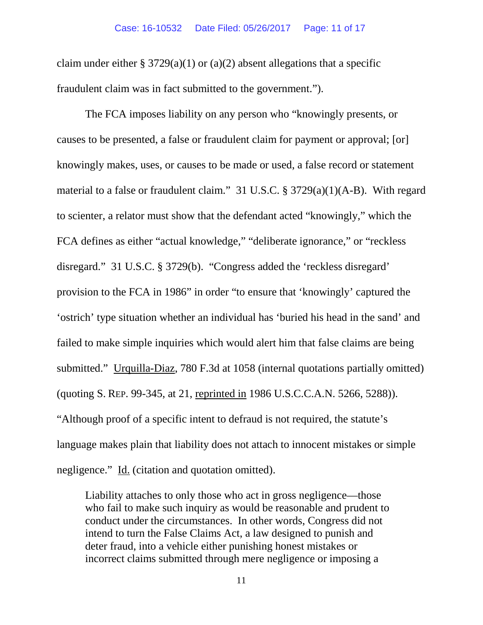claim under either § 3729(a)(1) or (a)(2) absent allegations that a specific fraudulent claim was in fact submitted to the government.").

The FCA imposes liability on any person who "knowingly presents, or causes to be presented, a false or fraudulent claim for payment or approval; [or] knowingly makes, uses, or causes to be made or used, a false record or statement material to a false or fraudulent claim." 31 U.S.C. § 3729(a)(1)(A-B). With regard to scienter, a relator must show that the defendant acted "knowingly," which the FCA defines as either "actual knowledge," "deliberate ignorance," or "reckless disregard." 31 U.S.C. § 3729(b). "Congress added the 'reckless disregard' provision to the FCA in 1986" in order "to ensure that 'knowingly' captured the 'ostrich' type situation whether an individual has 'buried his head in the sand' and failed to make simple inquiries which would alert him that false claims are being submitted." Urquilla-Diaz, 780 F.3d at 1058 (internal quotations partially omitted) (quoting S. REP. 99-345, at 21, reprinted in 1986 U.S.C.C.A.N. 5266, 5288)). "Although proof of a specific intent to defraud is not required, the statute's language makes plain that liability does not attach to innocent mistakes or simple negligence." Id. (citation and quotation omitted).

Liability attaches to only those who act in gross negligence—those who fail to make such inquiry as would be reasonable and prudent to conduct under the circumstances. In other words, Congress did not intend to turn the False Claims Act, a law designed to punish and deter fraud, into a vehicle either punishing honest mistakes or incorrect claims submitted through mere negligence or imposing a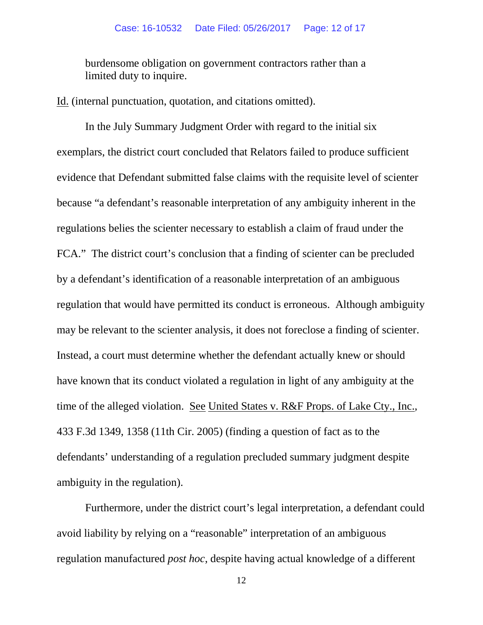burdensome obligation on government contractors rather than a limited duty to inquire.

Id. (internal punctuation, quotation, and citations omitted).

In the July Summary Judgment Order with regard to the initial six exemplars, the district court concluded that Relators failed to produce sufficient evidence that Defendant submitted false claims with the requisite level of scienter because "a defendant's reasonable interpretation of any ambiguity inherent in the regulations belies the scienter necessary to establish a claim of fraud under the FCA." The district court's conclusion that a finding of scienter can be precluded by a defendant's identification of a reasonable interpretation of an ambiguous regulation that would have permitted its conduct is erroneous. Although ambiguity may be relevant to the scienter analysis, it does not foreclose a finding of scienter. Instead, a court must determine whether the defendant actually knew or should have known that its conduct violated a regulation in light of any ambiguity at the time of the alleged violation. See United States v. R&F Props. of Lake Cty., Inc., 433 F.3d 1349, 1358 (11th Cir. 2005) (finding a question of fact as to the defendants' understanding of a regulation precluded summary judgment despite ambiguity in the regulation).

Furthermore, under the district court's legal interpretation, a defendant could avoid liability by relying on a "reasonable" interpretation of an ambiguous regulation manufactured *post hoc*, despite having actual knowledge of a different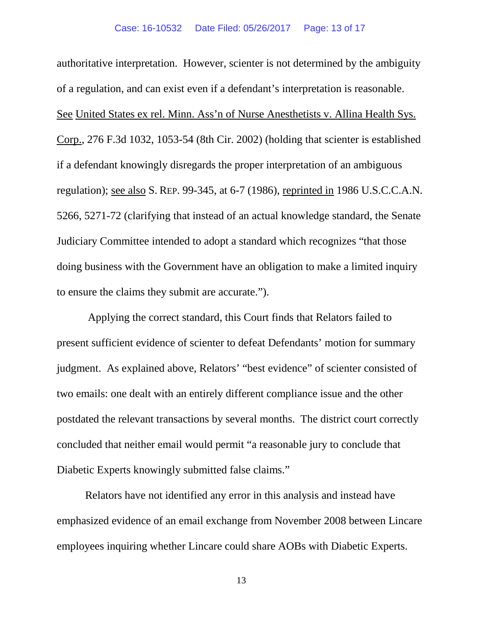authoritative interpretation. However, scienter is not determined by the ambiguity of a regulation, and can exist even if a defendant's interpretation is reasonable. See United States ex rel. Minn. Ass'n of Nurse Anesthetists v. Allina Health Sys. Corp., 276 F.3d 1032, 1053-54 (8th Cir. 2002) (holding that scienter is established if a defendant knowingly disregards the proper interpretation of an ambiguous regulation); see also S. REP. 99-345, at 6-7 (1986), reprinted in 1986 U.S.C.C.A.N. 5266, 5271-72 (clarifying that instead of an actual knowledge standard, the Senate Judiciary Committee intended to adopt a standard which recognizes "that those doing business with the Government have an obligation to make a limited inquiry to ensure the claims they submit are accurate.").

Applying the correct standard, this Court finds that Relators failed to present sufficient evidence of scienter to defeat Defendants' motion for summary judgment. As explained above, Relators' "best evidence" of scienter consisted of two emails: one dealt with an entirely different compliance issue and the other postdated the relevant transactions by several months. The district court correctly concluded that neither email would permit "a reasonable jury to conclude that Diabetic Experts knowingly submitted false claims."

Relators have not identified any error in this analysis and instead have emphasized evidence of an email exchange from November 2008 between Lincare employees inquiring whether Lincare could share AOBs with Diabetic Experts.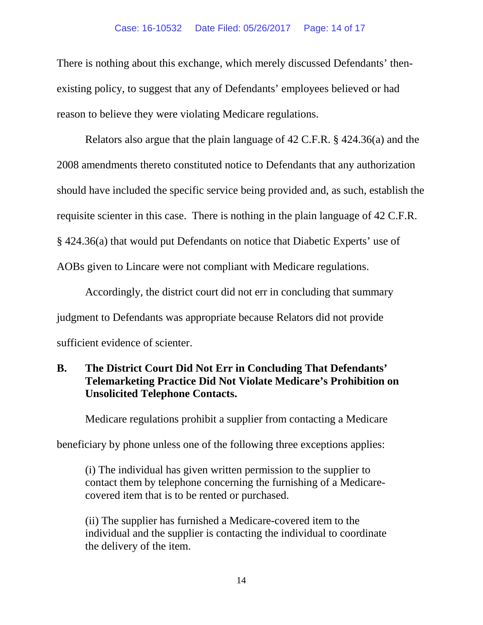There is nothing about this exchange, which merely discussed Defendants' thenexisting policy, to suggest that any of Defendants' employees believed or had reason to believe they were violating Medicare regulations.

Relators also argue that the plain language of 42 C.F.R. § 424.36(a) and the 2008 amendments thereto constituted notice to Defendants that any authorization should have included the specific service being provided and, as such, establish the requisite scienter in this case. There is nothing in the plain language of 42 C.F.R. § 424.36(a) that would put Defendants on notice that Diabetic Experts' use of AOBs given to Lincare were not compliant with Medicare regulations.

Accordingly, the district court did not err in concluding that summary judgment to Defendants was appropriate because Relators did not provide sufficient evidence of scienter.

## **B. The District Court Did Not Err in Concluding That Defendants' Telemarketing Practice Did Not Violate Medicare's Prohibition on Unsolicited Telephone Contacts.**

Medicare regulations prohibit a supplier from contacting a Medicare

beneficiary by phone unless one of the following three exceptions applies:

(i) The individual has given written permission to the supplier to contact them by telephone concerning the furnishing of a Medicarecovered item that is to be rented or purchased.

(ii) The supplier has furnished a Medicare-covered item to the individual and the supplier is contacting the individual to coordinate the delivery of the item.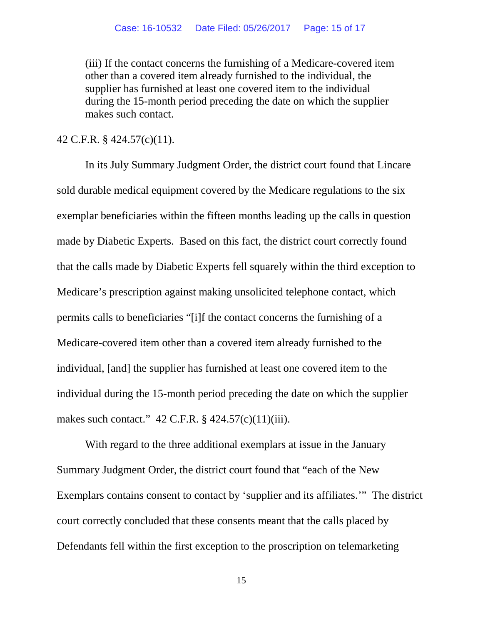(iii) If the contact concerns the furnishing of a Medicare-covered item other than a covered item already furnished to the individual, the supplier has furnished at least one covered item to the individual during the 15-month period preceding the date on which the supplier makes such contact.

#### 42 C.F.R. § 424.57(c)(11).

In its July Summary Judgment Order, the district court found that Lincare sold durable medical equipment covered by the Medicare regulations to the six exemplar beneficiaries within the fifteen months leading up the calls in question made by Diabetic Experts. Based on this fact, the district court correctly found that the calls made by Diabetic Experts fell squarely within the third exception to Medicare's prescription against making unsolicited telephone contact, which permits calls to beneficiaries "[i]f the contact concerns the furnishing of a Medicare-covered item other than a covered item already furnished to the individual, [and] the supplier has furnished at least one covered item to the individual during the 15-month period preceding the date on which the supplier makes such contact." 42 C.F.R. § 424.57(c)(11)(iii).

With regard to the three additional exemplars at issue in the January Summary Judgment Order, the district court found that "each of the New Exemplars contains consent to contact by 'supplier and its affiliates.'" The district court correctly concluded that these consents meant that the calls placed by Defendants fell within the first exception to the proscription on telemarketing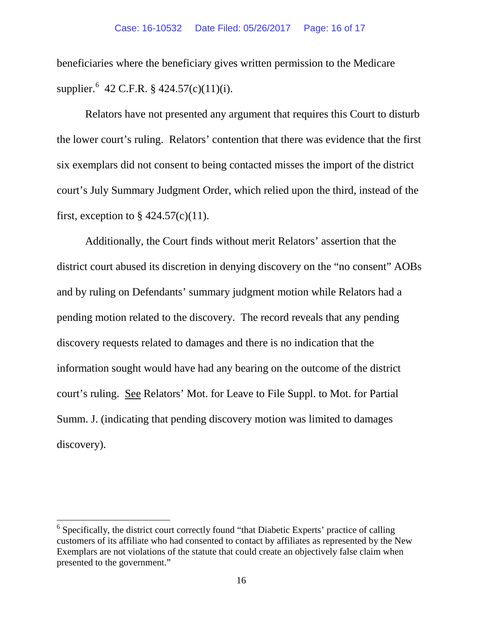beneficiaries where the beneficiary gives written permission to the Medicare supplier.<sup>[6](#page-15-0)</sup> 42 C.F.R. § 424.57(c)(11)(i).

Relators have not presented any argument that requires this Court to disturb the lower court's ruling. Relators' contention that there was evidence that the first six exemplars did not consent to being contacted misses the import of the district court's July Summary Judgment Order, which relied upon the third, instead of the first, exception to  $\S$  424.57(c)(11).

Additionally, the Court finds without merit Relators' assertion that the district court abused its discretion in denying discovery on the "no consent" AOBs and by ruling on Defendants' summary judgment motion while Relators had a pending motion related to the discovery. The record reveals that any pending discovery requests related to damages and there is no indication that the information sought would have had any bearing on the outcome of the district court's ruling. See Relators' Mot. for Leave to File Suppl. to Mot. for Partial Summ. J. (indicating that pending discovery motion was limited to damages discovery).

<span id="page-15-0"></span><sup>&</sup>lt;sup>6</sup> Specifically, the district court correctly found "that Diabetic Experts' practice of calling customers of its affiliate who had consented to contact by affiliates as represented by the New Exemplars are not violations of the statute that could create an objectively false claim when presented to the government."